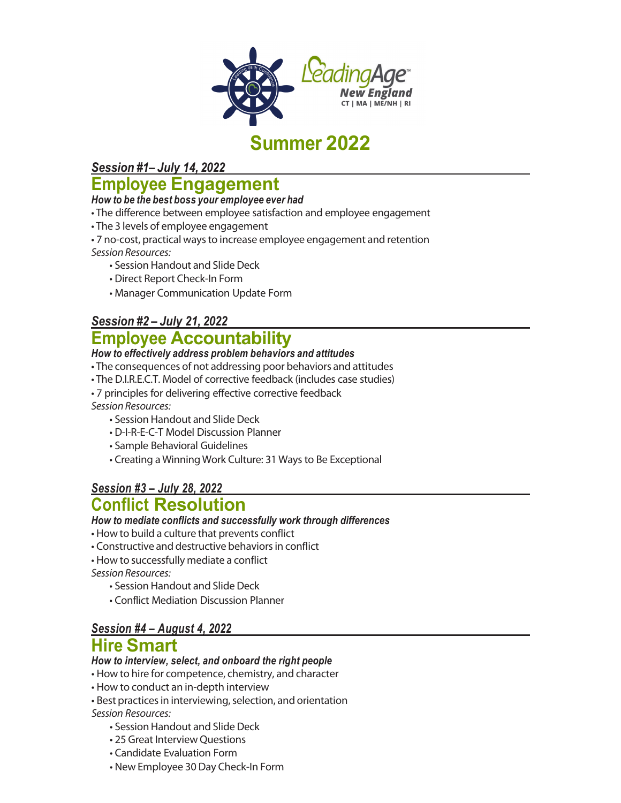

# **Summer 2022**

*Session #1– July 14, 2022*

# **Employee Engagement**

#### *How to be the best boss your employee ever had*

- The difference between employee satisfaction and employee engagement
- The 3 levels of employee engagement
- 7 no-cost, practical waysto increase employee engagement and retention *Session Resources:*
	- Session Handout and Slide Deck
		- Direct Report Check-In Form
		- Manager Communication Update Form

### *Session #2 – July 21, 2022*

## **Employee Accountability**

#### *How to effectively address problem behaviors and attitudes*

- The consequences of not addressing poor behaviors and attitudes
- The D.I.R.E.C.T. Model of corrective feedback (includes case studies)
- 7 principles for delivering effective corrective feedback

*Session Resources:*

- Session Handout and Slide Deck
- D-I-R-E-C-T Model Discussion Planner
- Sample Behavioral Guidelines
- Creating a Winning Work Culture: 31 Waysto Be Exceptional

## *Session #3 – July 28, 2022*

## **Conflict Resolution**

#### *How to mediate conflicts and successfully work through differences*

• How to build a culture that prevents conflict

- Constructive and destructive behaviors in conflict
- How to successfully mediate a conflict

*Session Resources:*

- Session Handout and Slide Deck
- Conflict Mediation Discussion Planner

### *Session #4 – August 4, 2022* **Hire Smart**

#### *How to interview, select, and onboard the right people*

- How to hire for competence, chemistry, and character
- How to conduct an in-depth interview
- Best practices in interviewing, selection, and orientation

*Session Resources:*

- Session Handout and Slide Deck
- 25 Great Interview Questions
- Candidate Evaluation Form
- New Employee 30 Day Check-In Form